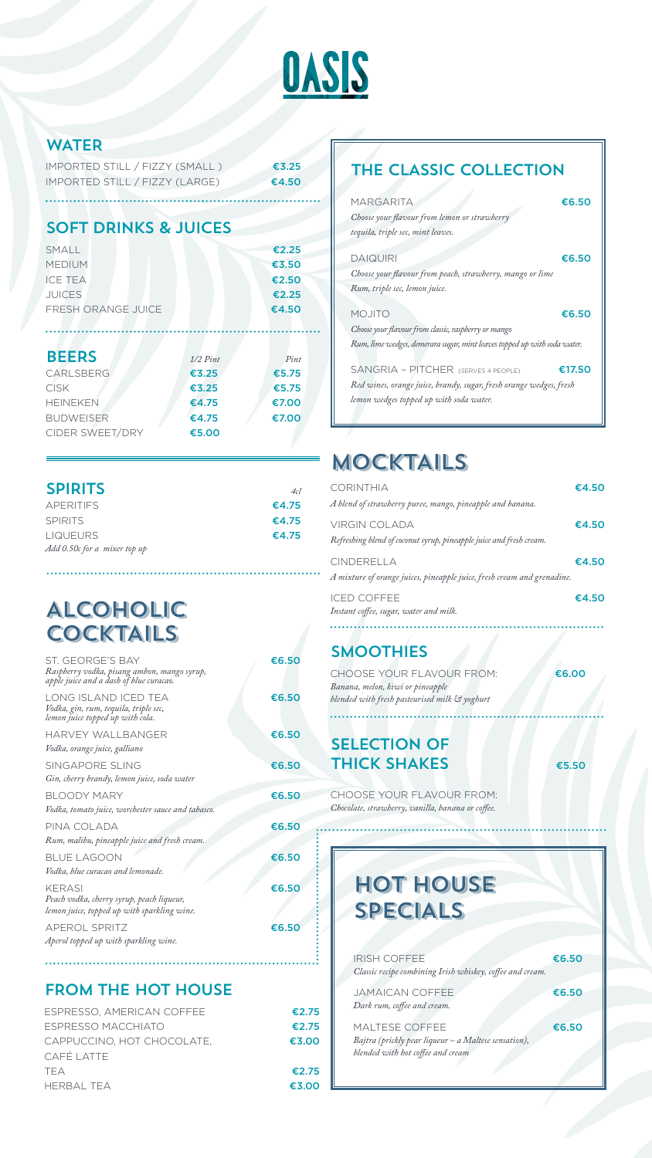| ST. GEORGE'S BAY<br>Raspberry vodka, pisang ambon, mango syrup,<br>apple juice and a dash of blue curacao. | €6.50 |
|------------------------------------------------------------------------------------------------------------|-------|
| LONG ISLAND ICED TEA<br>Vodka, gin, rum, tequila, triple sec,<br>lemon juice topped up with cola.          | €6.50 |
| HARVEY WALLBANGER                                                                                          | €6.50 |
| Vodka, orange juice, galliano                                                                              |       |
| <b>SINGAPORE SLING</b>                                                                                     | €6.50 |
| Gin, cherry brandy, lemon juice, soda water                                                                |       |
| BLOODY MARY                                                                                                | €6.50 |
| Vodka, tomato juice, worchester sauce and tabasco.                                                         |       |
| PINA COLADA                                                                                                | €6.50 |
| Rum, malibu, pineapple juice and fresh cream.                                                              |       |
| BLUE LAGOON                                                                                                | €6.50 |
| Vodka, blue curacao and lemonade.                                                                          |       |
| KERASI                                                                                                     | €6.50 |

CHOOSE YOUR FLAVOUR FROM: €6.00 *Banana, melon, kiwi or pineapple blended with fresh pasteurised milk & yoghurt*

### SELECTION OF THICK SHAKES  $\epsilon$ 5.50

*Peach vodka, cherry syrup, peach liqueur, lemon juice, topped up with sparkling wine.*

APEROL SPRITZ €6.50 *Aperol topped up with sparkling wine.*



### WATER

| IMPORTED STILL / FIZZY (SMALL) | $\epsilon$ 3.25 |
|--------------------------------|-----------------|
| IMPORTED STILL / FIZZY (LARGE) | €4.50           |

## SMOOTHIES

### SOFT DRINKS & JUICES

| SMALL                     | €2.25 |
|---------------------------|-------|
| <b>MEDIUM</b>             | €3.50 |
| <b>ICE TEA</b>            | €2.50 |
| <b>JUICES</b>             | €2.25 |
| <b>FRESH ORANGE JUICE</b> | €4.50 |
|                           |       |

| <b>BEERS</b>     | $1/2$ Pint | $P_{int}$ |
|------------------|------------|-----------|
| <b>CARLSBERG</b> | €3.25      | €5.75     |
| <b>CISK</b>      | €3.25      | €5.75     |
| <b>HEINEKEN</b>  | €4.75      | €7.00     |
| <b>BUDWEISER</b> | €4.75      | €7.00     |
| CIDER SWEET/DRY  | €5.00      |           |

ESPRESSO, AMERICAN COFFEE <del>€2.75</del> ESPRESSO MACCHIATO €2.75 CAPPUCCINO, HOT CHOCOLATE, €3.00 CAFÉ LATTE TEA  $\epsilon$ 2.75 HERBAL TEA €3.00

CHOOSE YOUR FLAVOUR FROM: *Chocolate, strawberry, vanilla, banana or coffee.*

> $IRISH COFFEE$   $E6.50$ *Classic recipe combining Irish whiskey, coffee and cream.* JAMAICAN COFFEE <del>€6.50</del> *Dark rum, coffee and cream.* MALTESE COFFEE  $\epsilon$ 6.50 *Bajtra (prickly pear liqueur – a Maltese sensation), blended with hot coffee and cream*

# MOCKTAILS

| <b>CORINTHIA</b>                                                        | €4.50 |
|-------------------------------------------------------------------------|-------|
| A blend of strawberry puree, mango, pineapple and banana.               |       |
| <b>VIRGIN COLADA</b>                                                    | €4.50 |
| Refreshing blend of coconut syrup, pineapple juice and fresh cream.     |       |
| CINDERELLA                                                              | €4.50 |
| A mixture of orange juices, pineapple juice, fresh cream and grenadine. |       |
| <b>ICED COFFEE</b>                                                      | €4.50 |
| Instant coffee, sugar, water and milk.                                  |       |
|                                                                         |       |

## THE CLASSIC COLLECTION

| MARGARITA                                                                | €6.50  |
|--------------------------------------------------------------------------|--------|
| Choose your flavour from lemon or strawberry                             |        |
| tequila, triple sec, mint leaves.                                        |        |
| <b>DAIQUIRI</b>                                                          | €6.50  |
| Choose your flavour from peach, strawberry, mango or lime                |        |
| Rum, triple sec, lemon juice.                                            |        |
|                                                                          |        |
| <b>MOJITO</b>                                                            | €6.50  |
| Choose your flavour from classic, raspberry or mango                     |        |
| Rum, lime wedges, demerara sugar, mint leaves topped up with soda water. |        |
| SANGRIA - PITCHER (SERVES 4 PEOPLE)                                      | €17.50 |
| Red wines, orange juice, brandy, sugar, fresh orange wedges, fresh       |        |
| lemon wedges topped up with soda water.                                  |        |

### FROM THE HOT HOUSE

# HOT HOUSE

# SPECIALS

| <b>SPIRITS</b>               | 4cl   |
|------------------------------|-------|
| <b>APERITIFS</b>             | €4.75 |
| <b>SPIRITS</b>               | €4.75 |
| <b>LIQUEURS</b>              | €4.75 |
| Add 0.50c for a mixer top up |       |

# ALCOHOLIC **COCKTAILS**